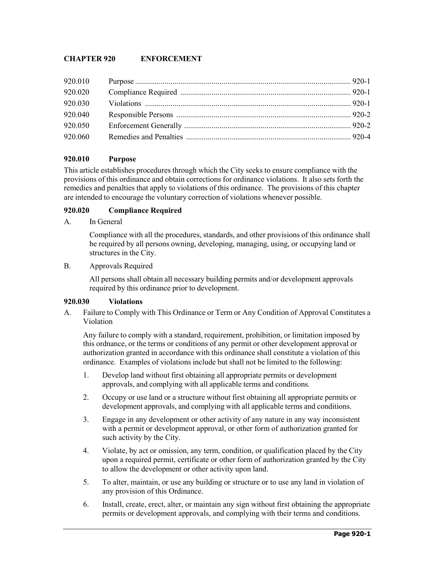# **CHAPTER 920 ENFORCEMENT**

| 920.010 |  |
|---------|--|
| 920.020 |  |
|         |  |
| 920.040 |  |
| 920.050 |  |
| 920.060 |  |

## **920.010 Purpose**

This article establishes procedures through which the City seeks to ensure compliance with the provisions of this ordinance and obtain corrections for ordinance violations. It also sets forth the remedies and penalties that apply to violations of this ordinance. The provisions of this chapter are intended to encourage the voluntary correction of violations whenever possible.

### **920.020 Compliance Required**

A. In General

Compliance with all the procedures, standards, and other provisions of this ordinance shall be required by all persons owning, developing, managing, using, or occupying land or structures in the City.

B. Approvals Required

All persons shall obtain all necessary building permits and/or development approvals required by this ordinance prior to development.

#### **920.030 Violations**

A. Failure to Comply with This Ordinance or Term or Any Condition of Approval Constitutes a Violation

Any failure to comply with a standard, requirement, prohibition, or limitation imposed by this ordnance, or the terms or conditions of any permit or other development approval or authorization granted in accordance with this ordinance shall constitute a violation of this ordinance. Examples of violations include but shall not be limited to the following:

- 1. Develop land without first obtaining all appropriate permits or development approvals, and complying with all applicable terms and conditions.
- 2. Occupy or use land or a structure without first obtaining all appropriate permits or development approvals, and complying with all applicable terms and conditions.
- 3. Engage in any development or other activity of any nature in any way inconsistent with a permit or development approval, or other form of authorization granted for such activity by the City.
- 4. Violate, by act or omission, any term, condition, or qualification placed by the City upon a required permit, certificate or other form of authorization granted by the City to allow the development or other activity upon land.
- 5. To alter, maintain, or use any building or structure or to use any land in violation of any provision of this Ordinance.
- 6. Install, create, erect, alter, or maintain any sign without first obtaining the appropriate permits or development approvals, and complying with their terms and conditions.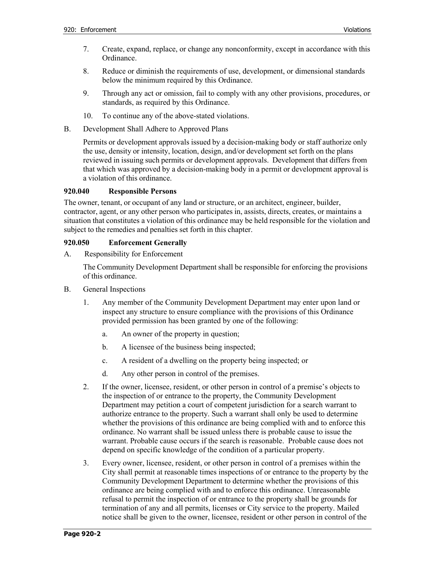- 7. Create, expand, replace, or change any nonconformity, except in accordance with this Ordinance.
- 8. Reduce or diminish the requirements of use, development, or dimensional standards below the minimum required by this Ordinance.
- 9. Through any act or omission, fail to comply with any other provisions, procedures, or standards, as required by this Ordinance.
- 10. To continue any of the above-stated violations.
- B. Development Shall Adhere to Approved Plans

Permits or development approvals issued by a decision-making body or staff authorize only the use, density or intensity, location, design, and/or development set forth on the plans reviewed in issuing such permits or development approvals. Development that differs from that which was approved by a decision-making body in a permit or development approval is a violation of this ordinance.

#### **920.040 Responsible Persons**

The owner, tenant, or occupant of any land or structure, or an architect, engineer, builder, contractor, agent, or any other person who participates in, assists, directs, creates, or maintains a situation that constitutes a violation of this ordinance may be held responsible for the violation and subject to the remedies and penalties set forth in this chapter.

#### **920.050 Enforcement Generally**

A. Responsibility for Enforcement

The Community Development Department shall be responsible for enforcing the provisions of this ordinance.

- B. General Inspections
	- 1. Any member of the Community Development Department may enter upon land or inspect any structure to ensure compliance with the provisions of this Ordinance provided permission has been granted by one of the following:
		- a. An owner of the property in question;
		- b. A licensee of the business being inspected;
		- c. A resident of a dwelling on the property being inspected; or
		- d. Any other person in control of the premises.
	- 2. If the owner, licensee, resident, or other person in control of a premise's objects to the inspection of or entrance to the property, the Community Development Department may petition a court of competent jurisdiction for a search warrant to authorize entrance to the property. Such a warrant shall only be used to determine whether the provisions of this ordinance are being complied with and to enforce this ordinance. No warrant shall be issued unless there is probable cause to issue the warrant. Probable cause occurs if the search is reasonable. Probable cause does not depend on specific knowledge of the condition of a particular property.
	- 3. Every owner, licensee, resident, or other person in control of a premises within the City shall permit at reasonable times inspections of or entrance to the property by the Community Development Department to determine whether the provisions of this ordinance are being complied with and to enforce this ordinance. Unreasonable refusal to permit the inspection of or entrance to the property shall be grounds for termination of any and all permits, licenses or City service to the property. Mailed notice shall be given to the owner, licensee, resident or other person in control of the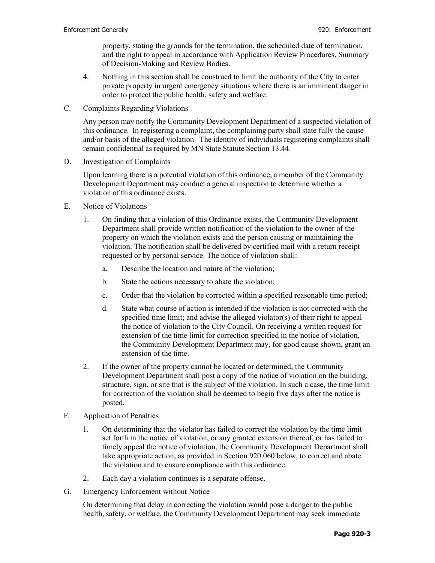property, stating the grounds for the termination, the scheduled date of termination, and the right to appeal in accordance with Application Review Procedures, Summary of Decision-Making and Review Bodies.

- 4. Nothing in this section shall be construed to limit the authority of the City to enter private property in urgent emergency situations where there is an imminent danger in order to protect the public health, safety and welfare.
- C. Complaints Regarding Violations

Any person may notify the Community Development Department of a suspected violation of this ordinance. In registering a complaint, the complaining party shall state fully the cause and/or basis of the alleged violation. The identity of individuals registering complaints shall remain confidential as required by MN State Statute Section 13.44.

D. Investigation of Complaints

Upon learning there is a potential violation of this ordinance, a member of the Community Development Department may conduct a general inspection to determine whether a violation of this ordinance exists.

- E. Notice of Violations
	- 1. On finding that a violation of this Ordinance exists, the Community Development Department shall provide written notification of the violation to the owner of the property on which the violation exists and the person causing or maintaining the violation. The notification shall be delivered by certified mail with a return receipt requested or by personal service. The notice of violation shall:
		- a. Describe the location and nature of the violation;
		- b. State the actions necessary to abate the violation;
		- c. Order that the violation be corrected within a specified reasonable time period;
		- d. State what course of action is intended if the violation is not corrected with the specified time limit; and advise the alleged violator(s) of their right to appeal the notice of violation to the City Council. On receiving a written request for extension of the time limit for correction specified in the notice of violation, the Community Development Department may, for good cause shown, grant an extension of the time.
	- 2. If the owner of the property cannot be located or determined, the Community Development Department shall post a copy of the notice of violation on the building, structure, sign, or site that is the subject of the violation. In such a case, the time limit for correction of the violation shall be deemed to begin five days after the notice is posted.
- F. Application of Penalties
	- 1. On determining that the violator has failed to correct the violation by the time limit set forth in the notice of violation, or any granted extension thereof, or has failed to timely appeal the notice of violation, the Community Development Department shall take appropriate action, as provided in Section 920.060 below, to correct and abate the violation and to ensure compliance with this ordinance.
	- 2. Each day a violation continues is a separate offense.
- G. Emergency Enforcement without Notice

On determining that delay in correcting the violation would pose a danger to the public health, safety, or welfare, the Community Development Department may seek immediate